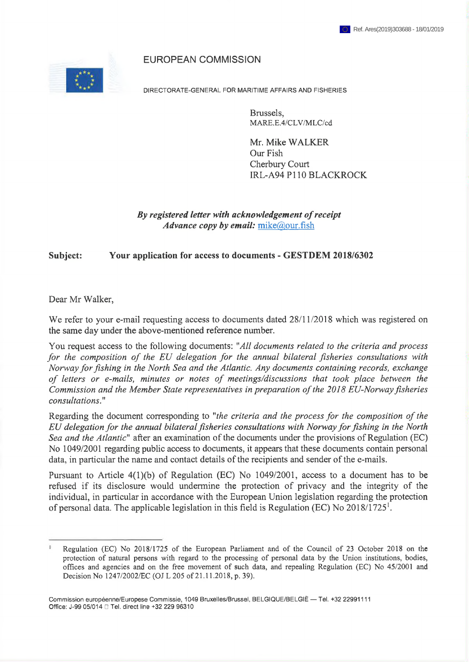#### EUROPEAN COMMISSION



DIRECTORATE-GENERAL FOR MARITIME AFFAIRS AND FISHERIES

Brussels, MARE.E.4/CLV/MLC/cd

Mr. Mike WALKER Our Fish Cherbury Court IRL-A94 P110 BLACKROCK

*By registered letter with acknowledgement ofreceipt Advance copy by email:* mike@our.fish

**Subject: Your application for access to documents - GESTDEM 2018/6302**

Dear Mr Walker,

We refer to your e-mail requesting access to documents dated  $28/11/2018$  which was registered on the same day under the above-mentioned reference number.

You request access to the following documents: *"All documents related to the criteria and process for the composition of the EU delegation for the annual bilateral fisheries consultations with Norway forfishing in the North Sea and the Atlantic. Any documents containing records, exchange of letters or e-mails, minutes or notes of meetings/discussions that took place between the Commission and the Member State representatives in preparation ofthe 2018 EU-Norwayfisheries consultations*."

Regarding the document corresponding to "the criteria and the process for the composition of the *EU delegation for the annual bilateralfisheries consultations with Norwayforfishing in the North Sea and the Atlantic*" after an examination of the documents under the provisions of Regulation (EC) No 1049/2001 regarding public access to documents, it appears that these documents contain personal data, in particular the name and contact details of the recipients and sender of the e-mails.

Pursuant to Article 4(1)(b) of Regulation (EC) No 1049/2001, access to a document has to be refused if its disclosure would undermine the protection of privacy and the integrity of the individual, in particular in accordance with the European Union legislation regarding the protection of personal data. The applicable legislation in this field is Regulation (EC) No  $2018/1725<sup>1</sup>$ .

Regulation (EC) No 2018/1725 of the European Parliament and of the Council of 23 October 2018 on the protection of natural persons with regard to the processing of personal data by the Union institutions, bodies, offices and agencies and on the free movement of such data, and repealing Regulation (EC) No 45/2001 and Decision No 1247/2002/EC (OJ L 205 of 21.11.2018, p. 39).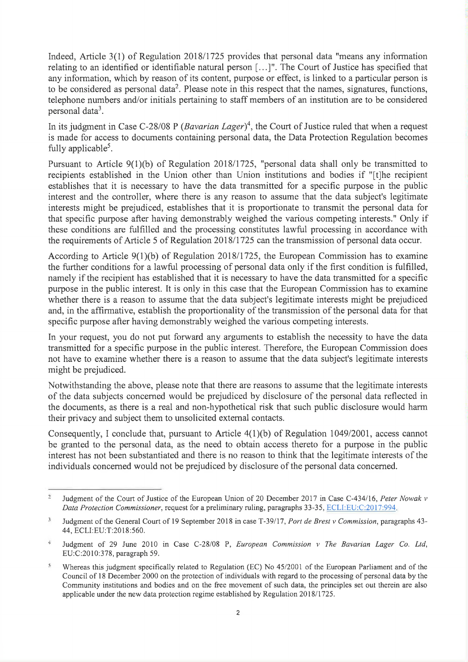Indeed, Article 3(1) of Regulation 2018/1725 provides that personal data "means any information relating to an identified or identifiable natural person  $[\dots]$ ". The Court of Justice has specified that any information, which by reason of its content, purpose or effect, is linked to a particular person is to be considered as personal data<sup>2</sup>. Please note in this respect that the names, signatures, functions, telephone numbers and/or initials pertaining to staff members of an institution are to be considered personal data<sup>3</sup>.

In its judgment in Case C-28/08 P *(Bavarian Lager)<sup>4</sup>*, the Court of Justice ruled that when a request is made for access to documents containing personal data, the Data Protection Regulation becomes fully applicable<sup>5</sup>.

Pursuant to Article 9(1)(b) of Regulation 2018/1725, "personal data shall only be transmitted to recipients established in the Union other than Union institutions and bodies if "[t]he recipient establishes that it is necessary to have the data transmitted for a specific purpose in the public interest and the controller, where there is any reason to assume that the data subject's legitimate interests might be prejudiced, establishes that it is proportionate to transmit the personal data for that specific purpose after having demonstrably weighed the various competing interests." Only if these conditions are fulfilled and the processing constitutes lawful processing in accordance with the requirements of Article 5 of Regulation 2018/1725 can the transmission of personal data occur.

According to Article 9(1 )(b) of Regulation 2018/1725, the European Commission has to examine the further conditions for a lawful processing of personal data only if the first condition is fulfilled, namely if the recipient has established that it is necessary to have the data transmitted for a specific purpose in the public interest. It is only in this case that the European Commission has to examine whether there is a reason to assume that the data subject's legitimate interests might be prejudiced and, in the affirmative, establish the proportionality of the transmission of the personal data for that specific purpose after having demonstrably weighed the various competing interests.

In your request, you do not put forward any arguments to establish the necessity to have the data transmitted for a specific purpose in the public interest. Therefore, the European Commission does not have to examine whether there is a reason to assume that the data subject's legitimate interests might be prejudiced.

Notwithstanding the above, please note that there are reasons to assume that the legitimate interests of the data subjects concerned would be prejudiced by disclosure of the personal data reflected in the documents, as there is a real and non-hypothetical risk that such public disclosure would harm their privacy and subject them to unsolicited external contacts.

Consequently, I conclude that, pursuant to Article 4(1)(b) of Regulation 1049/2001, access cannot be granted to the personal data, as the need to obtain access thereto for a purpose in the public interest has not been substantiated and there is no reason to think that the legitimate interests of the individuals concerned would not be prejudiced by disclosure of the personal data concerned.

<sup>2</sup> Judgment of the Court of Justice of the European Union of 20 December 2017 in Case C-434/16, *Peter Nowak v Data Protection Commissioner,* request for a preliminary ruling, paragraphs 33-35, ECLI:EU:C:2017:994.

<sup>2</sup> Judgment of the General Court of 19 September 2018 in case T-39/17, *Port de Brest v Commission,* paragraphs 43 44, ECLI:EU:T:2018:560.

<sup>4</sup> Judgment of 29 June 2010 in Case C-28/08 P, *European Commission* v *The Bavarian Lager Co. Ltd,* EU:C:2010:378, paragraph 59.

<sup>\*</sup> Whereas this judgment specifically related to Regulation (EC) No 45/2001 of the European Parliament and of the Council of 18 December 2000 on the protection of individuals with regard to the processing of personal data by the Community institutions and bodies and on the free movement of such data, the principles set out therein are also applicable under the new data protection regime established by Regulation 2018/1725.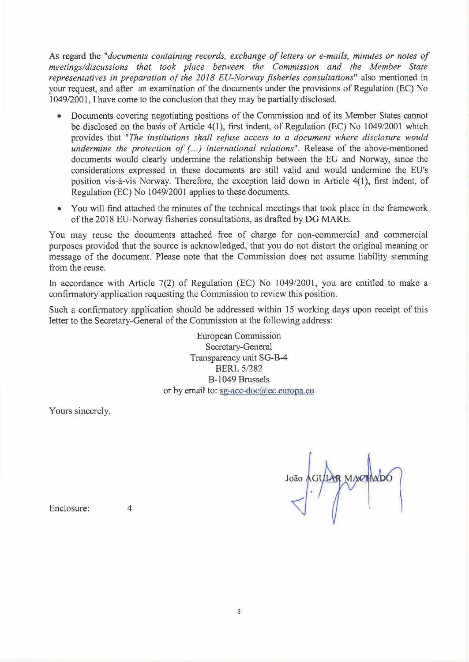As regard the "*documents containing records, exchange ofletters or e-mails, minutes or notes of meetings/discussions that took place between the Commission and the Member State representatives in preparation of the 2018 EU-Norway fisheries consultations"* also mentioned in your request, and after an examination of the documents under the provisions of Regulation (EC) No 1049/2001,1 have come to the conclusion that they may be partially disclosed.

- Documents covering negotiating positions of the Commission and of its Member States cannot be disclosed on the basis of Article 4(1), first indent, of Regulation (EC) No 1049/2001 which provides that *"The institutions shall refuse access to a document where disclosure would undermine the protection of (...) international relations".* Release of the above-mentioned documents would clearly undermine the relationship between the EU and Norway, since the considerations expressed in these documents are still valid and would undermine the EU's position vis-à-vis Norway. Therefore, the exception laid down in Article 4(1), first indent, of Regulation (EC) No 1049/2001 applies to these documents.
- You will find attached the minutes of the technical meetings that took place in the framework of the 2018 EU-Norway fisheries consultations, as drafted by DG MARE.

You may reuse the documents attached free of charge for non-commercial and commercial purposes provided that the source is acknowledged, that you do not distort the original meaning or message of the document. Please note that the Commission does not assume liability stemming from the reuse.

In accordance with Article 7(2) of Regulation (EC) No 1049/2001, you are entitled to make a confirmatory application requesting the Commission to review this position.

Such a confirmatory application should be addressed within 15 working days upon receipt of this letter to the Secretary-General of the Commission at the following address:

> European Commission Secretary-General Transparency unit SG-B-4 BERL 5/282 B-1049 Brussels or by email to: sg-acc-doc@ec.europa.eu

Yours sincerely,

João AGYLAR MARTHADO

Enclosure: 4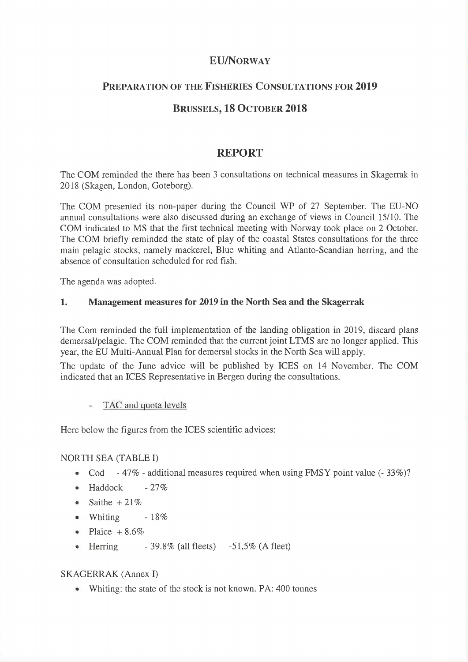# **EU/Norway**

## **Preparation of the Fisheries Consultations for 2019**

# **Brussels, 18 October 2018**

# **REPORT**

The COM reminded the there has been 3 consultations on technical measures in Skagerrak in 2018 (Skagen, London, Goteborg).

The COM presented its non-paper during the Council WP of 27 September. The EU-NO annual consultations were also discussed during an exchange of views in Council 15/10. The COM indicated to MS that the first technical meeting with Norway took place on 2 October. The COM briefly reminded the state of play of the coastal States consultations for the three main pelagic stocks, namely mackerel, Blue whiting and Atlanto-Scandian herring, and the absence of consultation scheduled for red fish.

The agenda was adopted.

#### **1. Management measures for 2019 in the North Sea and the Skagerrak**

The Com reminded the full implementation of the landing obligation in 2019, discard plans demersal/pelagic. The COM reminded that the current joint LTMS are no longer applied. This year, the EU Multi-Annual Plan for demersal stocks in the North Sea will apply.

The update of the June advice will be published by ICES on 14 November. The COM indicated that an ICES Representative in Bergen during the consultations.

## TAC and quota levels

Here below the figures from the ICES scientific advices:

#### NORTH SEA (TABLE I)

- Cod 47% additional measures required when using FMSY point value  $(-33\%)$ ?
- $\bullet$  Haddock 27%
- $\bullet$  Saithe +21%
- Whiting  $-18\%$
- Plaice  $+8.6\%$
- Herring  $-39.8\%$  (all fleets)  $-51,5\%$  (A fleet)

## SKAGERRAK (Annex I)

• Whiting: the state of the stock is not known. PA: 400 tonnes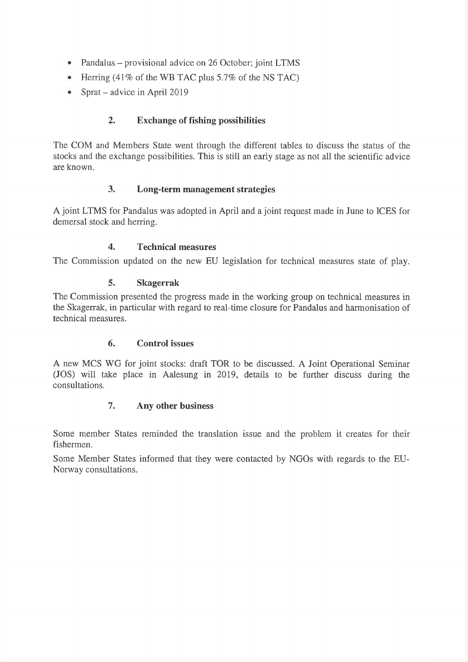- Pandalus provisional advice on 26 October; joint LTMS
- Herring (41% of the WB TAC plus 5.7% of the NS TAC)
- Sprat advice in April 2019

# **2. Exchange of fishing possibilities**

The COM and Members State went through the different tables to discuss the status of the stocks and the exchange possibilities. This is still an early stage as not all the scientific advice are known.

## **3. Long-term management strategies**

A joint LTMS for Pandalus was adopted in April and a joint request made in June to ICES for demersal stock and herring.

## **4. Technical measures**

The Commission updated on the new EU legislation for technical measures state of play.

## **5. Skagerrak**

The Commission presented the progress made in the working group on technical measures in the Skagerrak, in particular with regard to real-time closure for Pandalus and harmonisation of technical measures.

## **6. Control issues**

A new MCS WG for joint stocks: draft TOR to be discussed. A Joint Operational Seminar (JOS) will take place in Aalesung in 2019, details to be further discuss during the consultations.

## **7. Any other business**

Some member States reminded the translation issue and the problem it creates for their fishermen.

Some Member States informed that they were contacted by NGOs with regards to the EU-Norway consultations.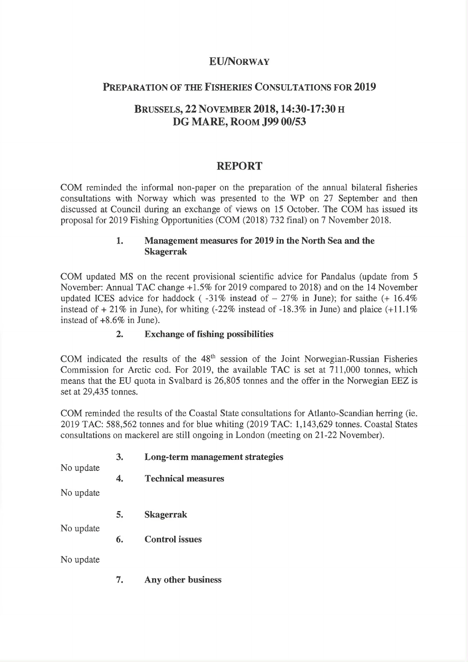## **EU/Norway**

## **Preparation of the Fisheries Consultations for 2019**

# **Brussels, 22 November 2018,14:30-17:30 DG MARE, Room J99 00/53**

# **REPORT**

COM reminded the informal non-paper on the preparation of the annual bilateral fisheries consultations with Norway which was presented to the WP on 27 September and then discussed at Council during an exchange of views on 15 October. The COM has issued its proposal for 2019 Fishing Opportunities (COM (2018) 732 final) on 7 November 2018.

## **1. Management measures for 2019 in the North Sea and the Skagerrak**

COM updated MS on the recent provisional scientific advice for Pandalus (update from 5 November: Annual TAC change +1.5% for 2019 compared to 2018) and on the 14 November updated ICES advice for haddock ( $-31\%$  instead of  $-27\%$  in June); for saithe ( $+16.4\%$ instead of  $+21\%$  in June), for whiting (-22% instead of -18.3% in June) and plaice (+11.1%) instead of +8.6% in June).

## **2. Exchange of fishing possibilities**

COM indicated the results of the  $48<sup>th</sup>$  session of the Joint Norwegian-Russian Fisheries Commission for Arctic cod. For 2019, the available TAC is set at 711,000 tonnes, which means that the EU quota in Svalbard is 26,805 tonnes and the offer in the Norwegian EEZ is set at 29,435 tonnes.

COM reminded the results of the Coastal State consultations for Atlanto-Scandian herring (ie. 2019 TAC: 588,562 tonnes and for blue whiting (2019 TAC: 1,143,629 tonnes. Coastal States consultations on mackerel are still ongoing in London (meeting on 21-22 November).

|           | 3. | Long-term management strategies |
|-----------|----|---------------------------------|
| No update | 4. | <b>Technical measures</b>       |
| No update |    |                                 |
|           | 5. | <b>Skagerrak</b>                |
| No update | 6. | <b>Control issues</b>           |
| No update |    |                                 |
|           | 7. | Any other business              |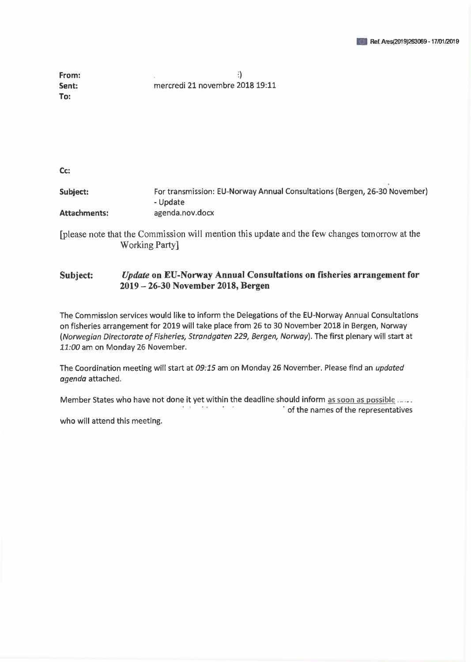| From: |                                 |
|-------|---------------------------------|
| Sent: | mercredi 21 novembre 2018 19:11 |
| To:   |                                 |

**Cc:**

**Subject:** For transmission: EU-Norway Annual Consultations (Bergen, 26-30 November) - Update **Attachments:** agenda.nov.docx

[please note that the Commission will mention this update and the few changes tomorrow at the Working Party]

#### **Subject:** *Update* **on EU-Norway Annual Consultations on fisheries arrangement for <sup>2019</sup> - 26-30 November 2018, Bergen**

The Commission services would like to inform the Delegations of the EU-Norway Annual Consultations on fisheries arrangement for 2019 will take place from 26 to 30 November 2018 in Bergen, Norway *(Norwegian Directorate of Fisheries, Strandgaten 229, Bergen, Norway). The first plenary will start at 11:00* am on Monday 26 November.

The Coordination meeting will start at *09:15* am on Monday 26 November. Please find an *updated agenda* attached,

Member States who have not done it yet within the deadline should inform as soon as possible. ' of the names of the representatives

who will attend this meeting.